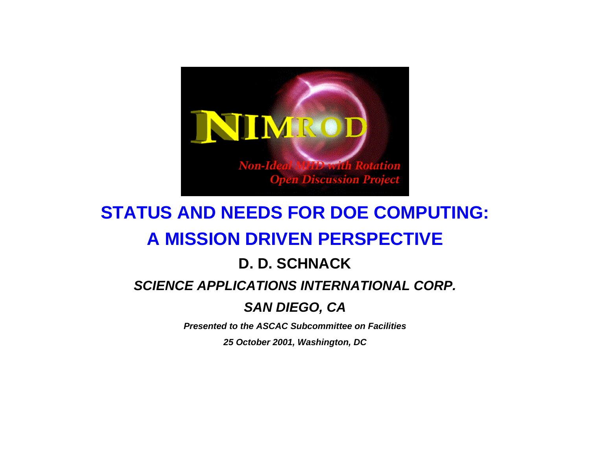

# **STATUS AND NEEDS FOR DOE COMPUTING: A MISSION DRIVEN PERSPECTIVE**

#### **D. D. SCHNACK**

#### *SCIENCE APPLICATIONS INTERNATIONAL CORP.*

#### *SAN DIEGO, CA*

*Presented to the ASCAC Subcommittee on Facilities* 

*25 October 2001, Washington, DC*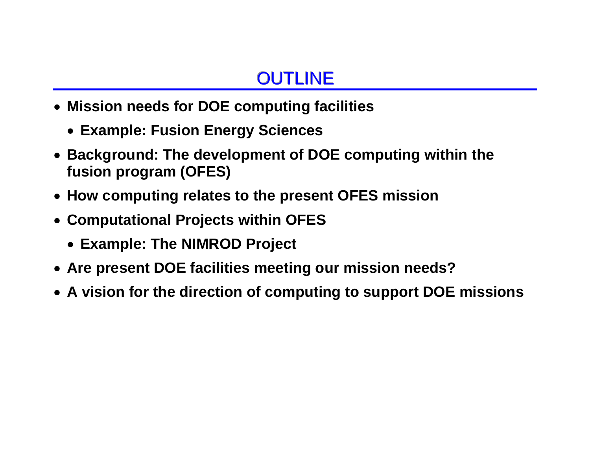## **OUTLINE**

- **Mission needs for DOE computing facilities** 
	- **Example: Fusion Energy Sciences**
- **Background: The development of DOE computing within the fusion program (OFES)**
- **How computing relates to the present OFES mission**
- **Computational Projects within OFES** 
	- **Example: The NIMROD Project**
- **Are present DOE facilities meeting our mission needs?**
- **A vision for the direction of computing to support DOE missions**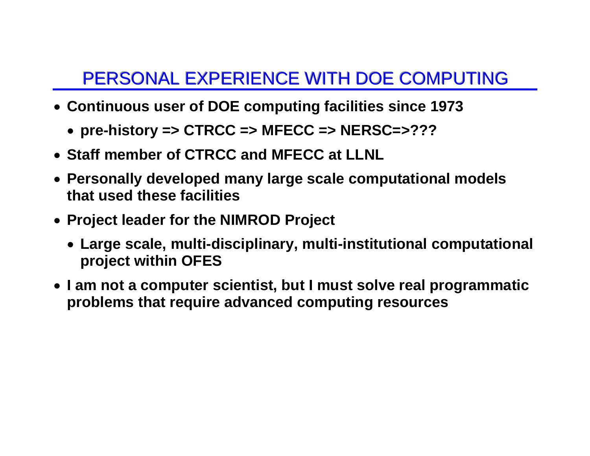### PERSONAL EXPERIENCE WITH DOE COMPUTING

- **Continuous user of DOE computing facilities since 1973** 
	- **pre-history => CTRCC => MFECC => NERSC=>???**
- **Staff member of CTRCC and MFECC at LLNL**
- **Personally developed many large scale computational models that used these facilities**
- **Project leader for the NIMROD Project** 
	- **Large scale, multi-disciplinary, multi-institutional computational project within OFES**
- **I am not a computer scientist, but I must solve real programmatic problems that require advanced computing resources**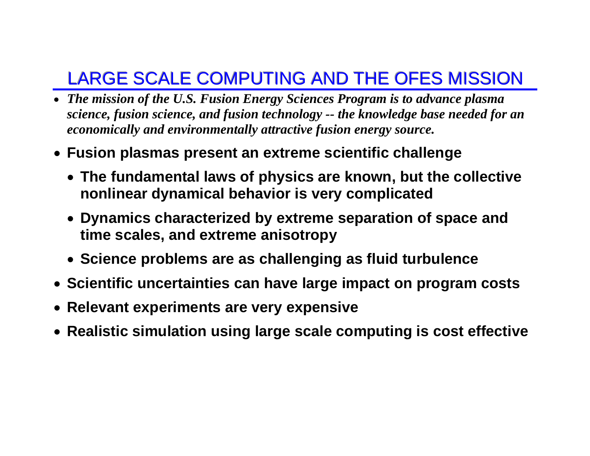# LARGE SCALE COMPUTING AND THE OFES MISSION

- *The mission of the U.S. Fusion Energy Sciences Program is to advance plasma science, fusion science, and fusion technology -- the knowledge base needed for an economically and environmentally attractive fusion energy source.*
- **Fusion plasmas present an extreme scientific challenge** 
	- **The fundamental laws of physics are known, but the collective nonlinear dynamical behavior is very complicated**
	- **Dynamics characterized by extreme separation of space and time scales, and extreme anisotropy**
	- **Science problems are as challenging as fluid turbulence**
- **Scientific uncertainties can have large impact on program costs**
- **Relevant experiments are very expensive**
- **Realistic simulation using large scale computing is cost effective**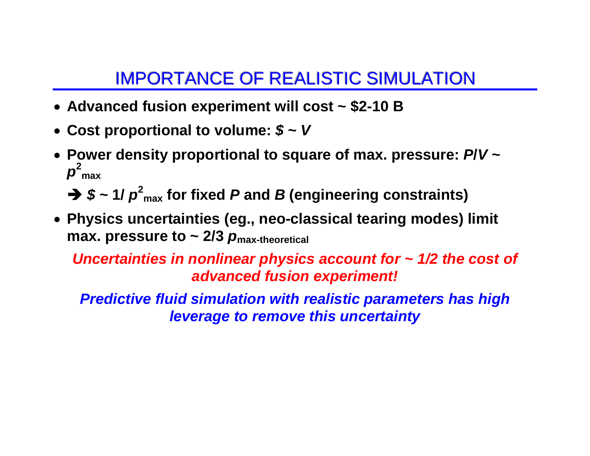#### IMPORTANCE OF REALISTIC SIMULATION

- **Advanced fusion experiment will cost ~ \$2-10 B**
- **Cost proportional to volume:** *\$* **<sup>~</sup>***V*
- **Power density proportional to square of max. pressure:** *P***/***V* **<sup>~</sup>**  $p^2_{max}$

 $\rightarrow$  \$ ~ 1/  $p^2_{\text{max}}$  for fixed *P* and *B* (engineering constraints)

• **Physics uncertainties (eg., neo-classical tearing modes) limit max. pressure to ~ 2/3**  $p_{\text{max-theoretical}}$ 

*Uncertainties in nonlinear physics account for ~ 1/2 the cost of advanced fusion experiment!* 

*Predictive fluid simulation with realistic parameters has high leverage to remove this uncertainty*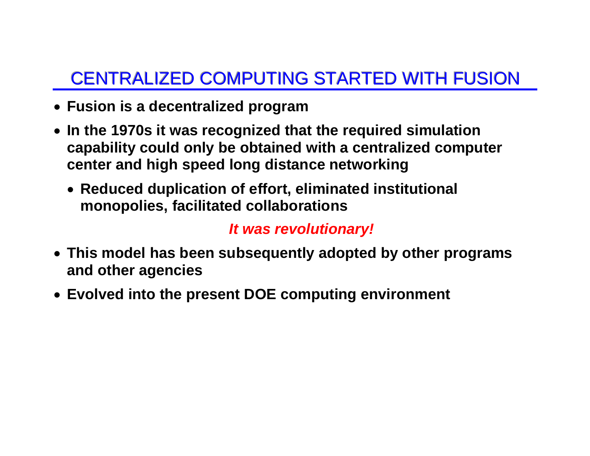# CENTRALIZED COMPUTING STARTED WITH FUSION

- **Fusion is a decentralized program**
- **In the 1970s it was recognized that the required simulation capability could only be obtained with a centralized computer center and high speed long distance networking** 
	- **Reduced duplication of effort, eliminated institutional monopolies, facilitated collaborations**

#### *It was revolutionary!*

- **This model has been subsequently adopted by other programs and other agencies**
- **Evolved into the present DOE computing environment**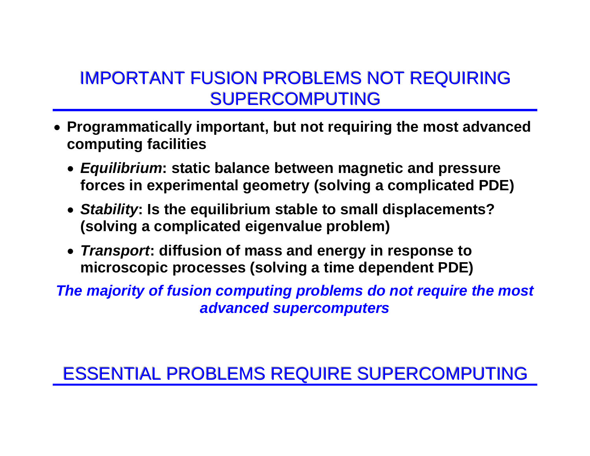#### IMPORTANT FUSION PROBLEMS NOT REQUIRING SUPERCOMPUTING

- **Programmatically important, but not requiring the most advanced computing facilities** 
	- *Equilibrium***: static balance between magnetic and pressure forces in experimental geometry (solving a complicated PDE)**
	- *Stability***: Is the equilibrium stable to small displacements? (solving a complicated eigenvalue problem)**
	- *Transport***: diffusion of mass and energy in response to microscopic processes (solving a time dependent PDE)**

*The majority of fusion computing problems do not require the most advanced supercomputers* 

### ESSENTIAL PROBLEMS REQUIRE SUPERCOMPUTING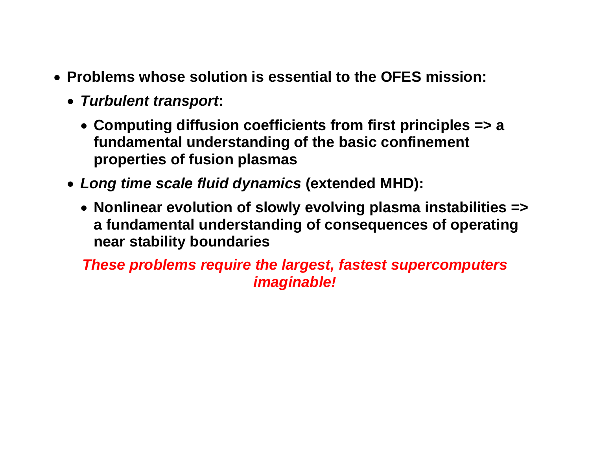- **Problems whose solution is essential to the OFES mission:** 
	- *Turbulent transport***:** 
		- **Computing diffusion coefficients from first principles => a fundamental understanding of the basic confinement properties of fusion plasmas**
	- *Long time scale fluid dynamics* **(extended MHD):** 
		- **Nonlinear evolution of slowly evolving plasma instabilities => a fundamental understanding of consequences of operating near stability boundaries**

*These problems require the largest, fastest supercomputers imaginable!*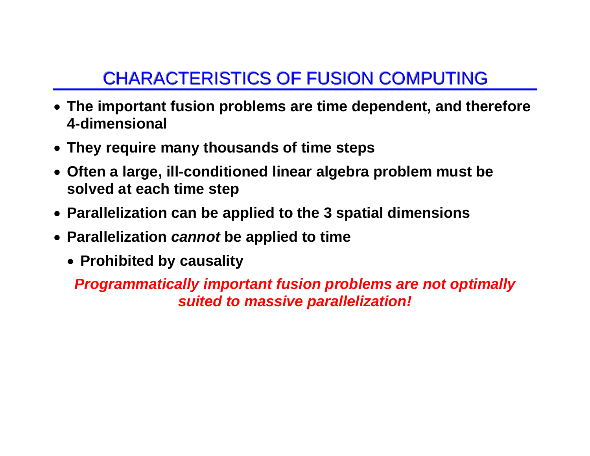# CHARACTERISTICS OF FUSION COMPUTING

- **The important fusion problems are time dependent, and therefore 4-dimensional**
- **They require many thousands of time steps**
- **Often a large, ill-conditioned linear algebra problem must be solved at each time step**
- **Parallelization can be applied to the 3 spatial dimensions**
- **Parallelization** *cannot* **be applied to time** 
	- **Prohibited by causality**

*Programmatically important fusion problems are not optimally suited to massive parallelization!*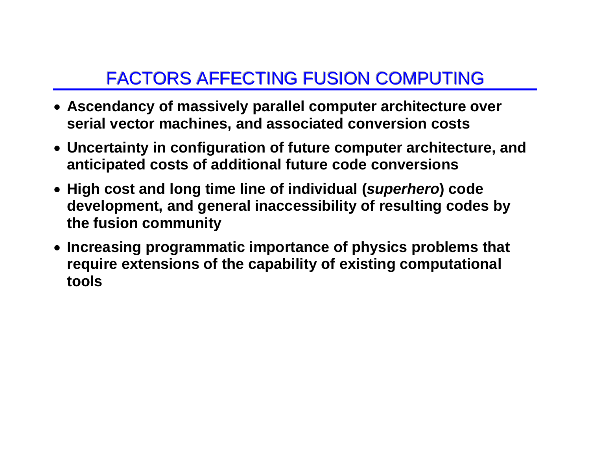### FACTORS AFFECTING FUSION COMPUTING

- **Ascendancy of massively parallel computer architecture over serial vector machines, and associated conversion costs**
- **Uncertainty in configuration of future computer architecture, and anticipated costs of additional future code conversions**
- **High cost and long time line of individual (***superhero***) code development, and general inaccessibility of resulting codes by the fusion community**
- **Increasing programmatic importance of physics problems that require extensions of the capability of existing computational tools**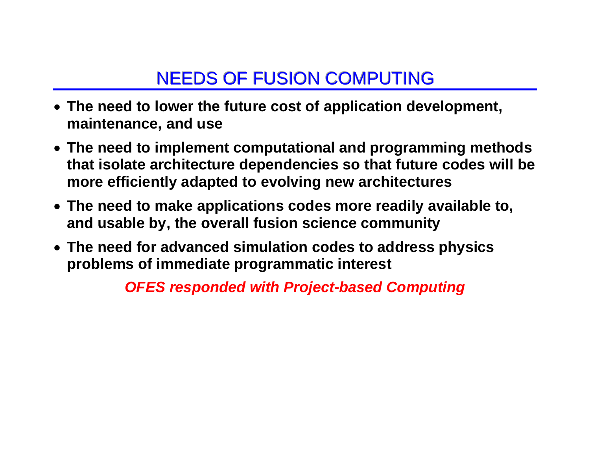### NEEDS OF FUSION COMPUTING

- **The need to lower the future cost of application development, maintenance, and use**
- **The need to implement computational and programming methods that isolate architecture dependencies so that future codes will be more efficiently adapted to evolving new architectures**
- **The need to make applications codes more readily available to, and usable by, the overall fusion science community**
- **The need for advanced simulation codes to address physics problems of immediate programmatic interest**

*OFES responded with Project-based Computing*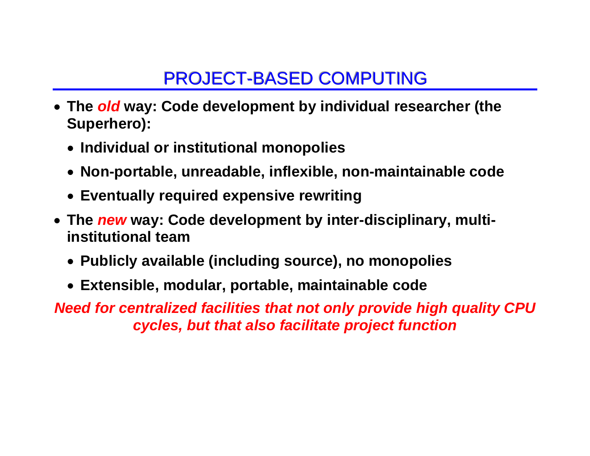### PROJECT-BASED COMPUTING

- **The** *old* **way: Code development by individual researcher (the Superhero):** 
	- **Individual or institutional monopolies**
	- **Non-portable, unreadable, inflexible, non-maintainable code**
	- **Eventually required expensive rewriting**
- **The** *new* **way: Code development by inter-disciplinary, multiinstitutional team** 
	- **Publicly available (including source), no monopolies**
	- **Extensible, modular, portable, maintainable code**

*Need for centralized facilities that not only provide high quality CPU cycles, but that also facilitate project function*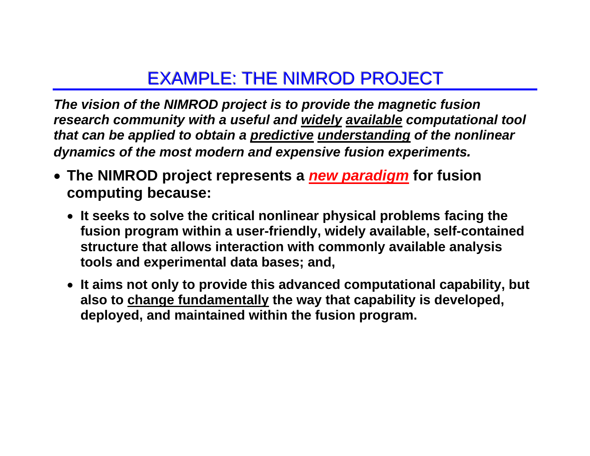#### EXAMPLE: THE NIMROD PROJECT

*The vision of the NIMROD project is to provide the magnetic fusion research community with a useful and widely available computational tool that can be applied to obtain a predictive understanding of the nonlinear dynamics of the most modern and expensive fusion experiments.* 

- **The NIMROD project represents a** *new paradigm* **for fusion computing because:** 
	- **It seeks to solve the critical nonlinear physical problems facing the fusion program within a user-friendly, widely available, self-contained structure that allows interaction with commonly available analysis tools and experimental data bases; and,**
	- **It aims not only to provide this advanced computational capability, but also to change fundamentally the way that capability is developed, deployed, and maintained within the fusion program.**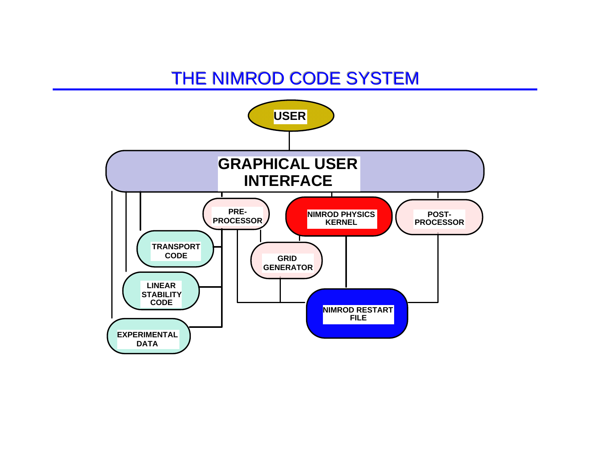#### THE NIMROD CODE SYSTEM

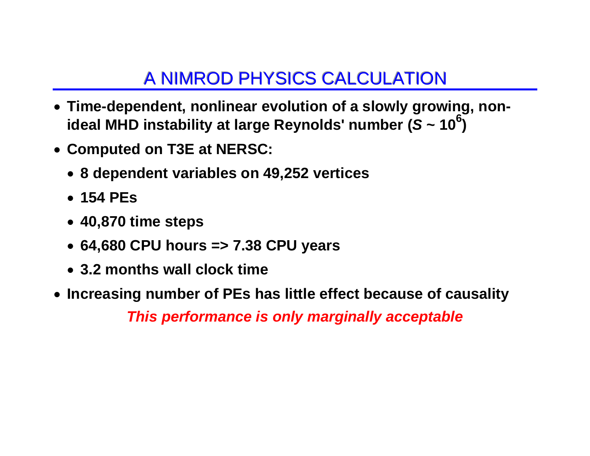### A NIMROD PHYSICS CALCULATION

- **Time-dependent, nonlinear evolution of a slowly growing, nonideal MHD instability at large Reynolds' number (***<sup>S</sup>* **~ 106)**
- **Computed on T3E at NERSC:** 
	- **8 dependent variables on 49,252 vertices**
	- **154 PEs**
	- **40,870 time steps**
	- **64,680 CPU hours => 7.38 CPU years**
	- **3.2 months wall clock time**
- **Increasing number of PEs has little effect because of causality**  *This performance is only marginally acceptable*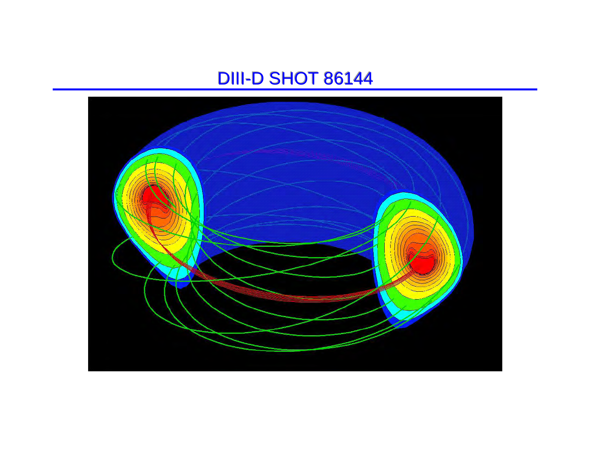#### **DIII-D SHOT 86144**

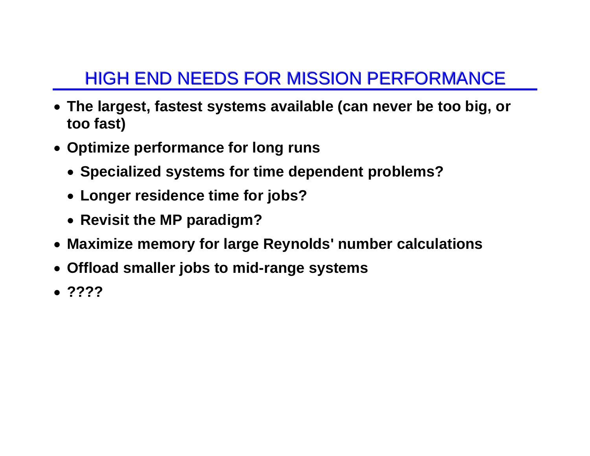# HIGH END NEEDS FOR MISSION PERFORMANCE

- **The largest, fastest systems available (can never be too big, or too fast)**
- **Optimize performance for long runs** 
	- **Specialized systems for time dependent problems?**
	- **Longer residence time for jobs?**
	- **Revisit the MP paradigm?**
- **Maximize memory for large Reynolds' number calculations**
- **Offload smaller jobs to mid-range systems**
- **????**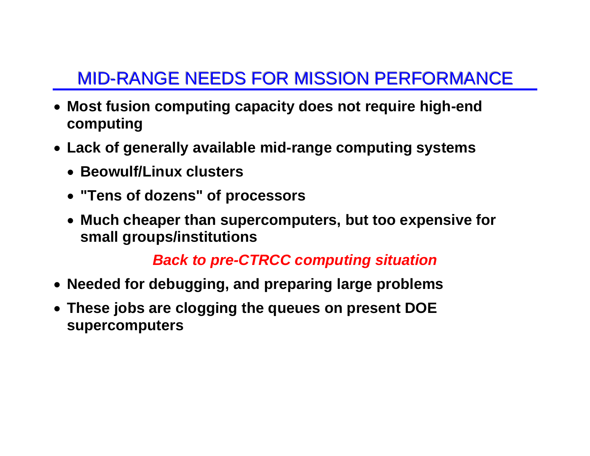# MID-RANGE NEEDS FOR MISSION PERFORMANCE

- **Most fusion computing capacity does not require high-end computing**
- **Lack of generally available mid-range computing systems** 
	- **Beowulf/Linux clusters**
	- **"Tens of dozens" of processors**
	- **Much cheaper than supercomputers, but too expensive for small groups/institutions**

#### *Back to pre-CTRCC computing situation*

- **Needed for debugging, and preparing large problems**
- **These jobs are clogging the queues on present DOE supercomputers**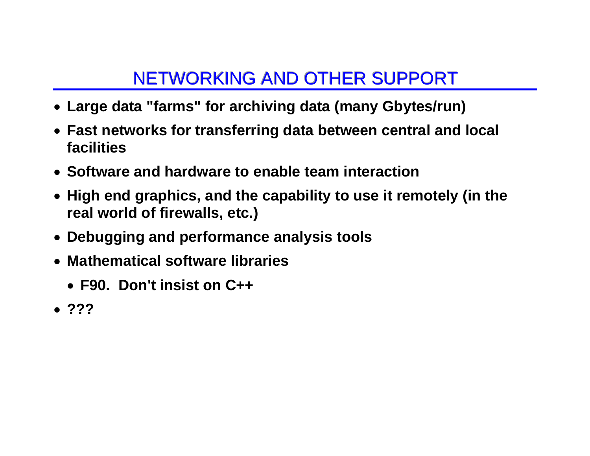# NETWORKING AND OTHER SUPPORT

- **Large data "farms" for archiving data (many Gbytes/run)**
- **Fast networks for transferring data between central and local facilities**
- **Software and hardware to enable team interaction**
- **High end graphics, and the capability to use it remotely (in the real world of firewalls, etc.)**
- **Debugging and performance analysis tools**
- **Mathematical software libraries** 
	- **F90. Don't insist on C++**
- **???**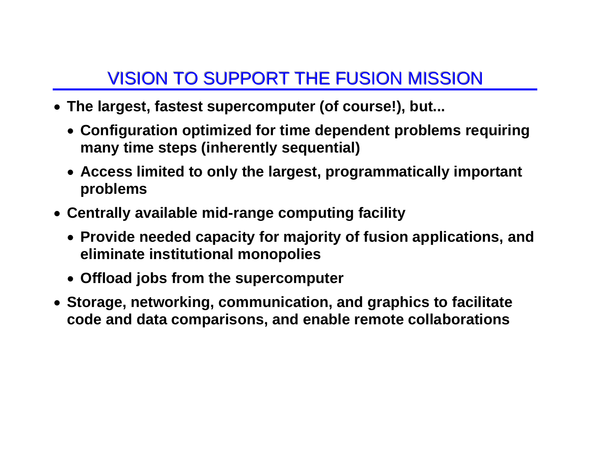# VISION TO SUPPORT THE FUSION MISSION

- **The largest, fastest supercomputer (of course!), but...** 
	- **Configuration optimized for time dependent problems requiring many time steps (inherently sequential)**
	- **Access limited to only the largest, programmatically important problems**
- **Centrally available mid-range computing facility** 
	- **Provide needed capacity for majority of fusion applications, and eliminate institutional monopolies**
	- **Offload jobs from the supercomputer**
- **Storage, networking, communication, and graphics to facilitate code and data comparisons, and enable remote collaborations**